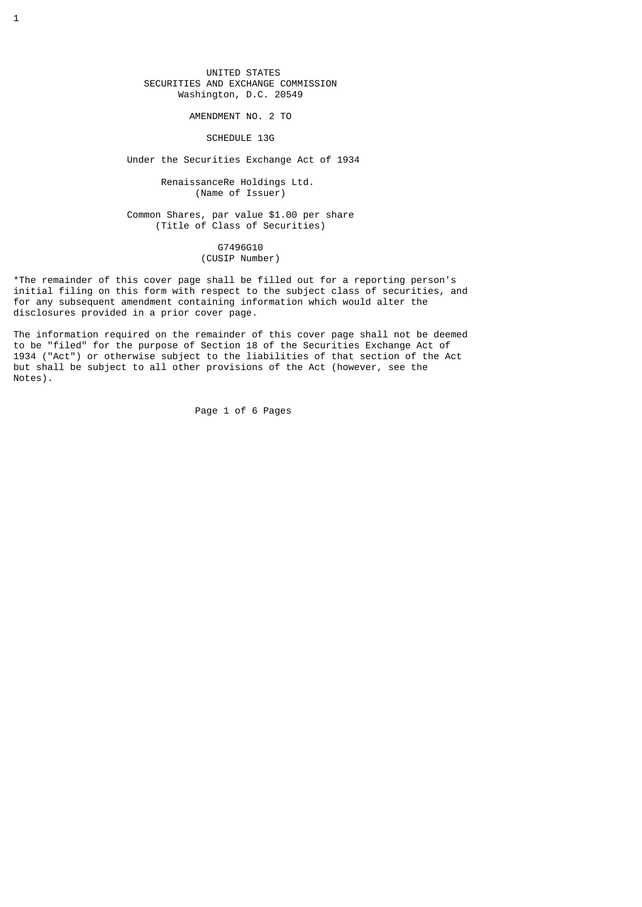UNITED STATES SECURITIES AND EXCHANGE COMMISSION Washington, D.C. 20549

AMENDMENT NO. 2 TO

SCHEDULE 13G

Under the Securities Exchange Act of 1934

 RenaissanceRe Holdings Ltd. (Name of Issuer)

 Common Shares, par value \$1.00 per share (Title of Class of Securities)

> G7496G10 (CUSIP Number)

\*The remainder of this cover page shall be filled out for a reporting person's initial filing on this form with respect to the subject class of securities, and for any subsequent amendment containing information which would alter the disclosures provided in a prior cover page.

The information required on the remainder of this cover page shall not be deemed to be "filed" for the purpose of Section 18 of the Securities Exchange Act of 1934 ("Act") or otherwise subject to the liabilities of that section of the Act but shall be subject to all other provisions of the Act (however, see the Notes).

Page 1 of 6 Pages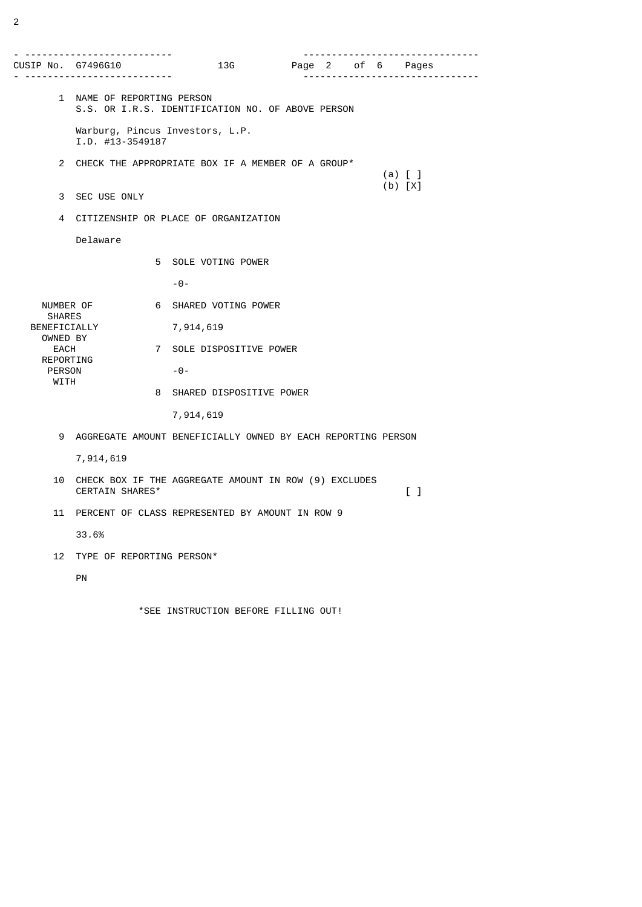| CUSIP No.   G7496G10                                                               | ---------------<br>----------------------                        |   | 13G                                                          |  |  |  | . | Page 2 of 6 Pages                 |
|------------------------------------------------------------------------------------|------------------------------------------------------------------|---|--------------------------------------------------------------|--|--|--|---|-----------------------------------|
|                                                                                    | 1 NAME OF REPORTING PERSON                                       |   | S.S. OR I.R.S. IDENTIFICATION NO. OF ABOVE PERSON            |  |  |  |   |                                   |
|                                                                                    | $I.D.$ #13-3549187                                               |   | Warburg, Pincus Investors, L.P.                              |  |  |  |   |                                   |
|                                                                                    | 2 CHECK THE APPROPRIATE BOX IF A MEMBER OF A GROUP*<br>$(a)$ [ ] |   |                                                              |  |  |  |   |                                   |
| 3                                                                                  | SEC USE ONLY                                                     |   |                                                              |  |  |  |   | $(b)$ $[X]$                       |
| 4                                                                                  | CITIZENSHIP OR PLACE OF ORGANIZATION                             |   |                                                              |  |  |  |   |                                   |
|                                                                                    | Delaware                                                         |   |                                                              |  |  |  |   |                                   |
|                                                                                    |                                                                  |   | 5 SOLE VOTING POWER                                          |  |  |  |   |                                   |
|                                                                                    |                                                                  |   | $-0-$                                                        |  |  |  |   |                                   |
| NUMBER OF<br><b>SHARES</b><br>BENEFICIALLY<br>OWNED BY<br><b>EACH</b><br>REPORTING |                                                                  |   | 6 SHARED VOTING POWER                                        |  |  |  |   |                                   |
|                                                                                    |                                                                  |   | 7,914,619                                                    |  |  |  |   |                                   |
|                                                                                    |                                                                  |   | 7 SOLE DISPOSITIVE POWER                                     |  |  |  |   |                                   |
| <b>PERSON</b>                                                                      |                                                                  |   | $-0-$                                                        |  |  |  |   |                                   |
| WITH                                                                               |                                                                  | 8 | SHARED DISPOSITIVE POWER                                     |  |  |  |   |                                   |
|                                                                                    |                                                                  |   | 7,914,619                                                    |  |  |  |   |                                   |
| 9                                                                                  |                                                                  |   | AGGREGATE AMOUNT BENEFICIALLY OWNED BY EACH REPORTING PERSON |  |  |  |   |                                   |
|                                                                                    | 7,914,619                                                        |   |                                                              |  |  |  |   |                                   |
| 10                                                                                 | CERTAIN SHARES*                                                  |   | CHECK BOX IF THE AGGREGATE AMOUNT IN ROW (9) EXCLUDES        |  |  |  |   | $\begin{bmatrix} 1 \end{bmatrix}$ |
| 11                                                                                 | PERCENT OF CLASS REPRESENTED BY AMOUNT IN ROW 9                  |   |                                                              |  |  |  |   |                                   |
|                                                                                    | 33.6%                                                            |   |                                                              |  |  |  |   |                                   |
| 12                                                                                 | TYPE OF REPORTING PERSON*                                        |   |                                                              |  |  |  |   |                                   |
|                                                                                    | PN                                                               |   |                                                              |  |  |  |   |                                   |

\*SEE INSTRUCTION BEFORE FILLING OUT!

2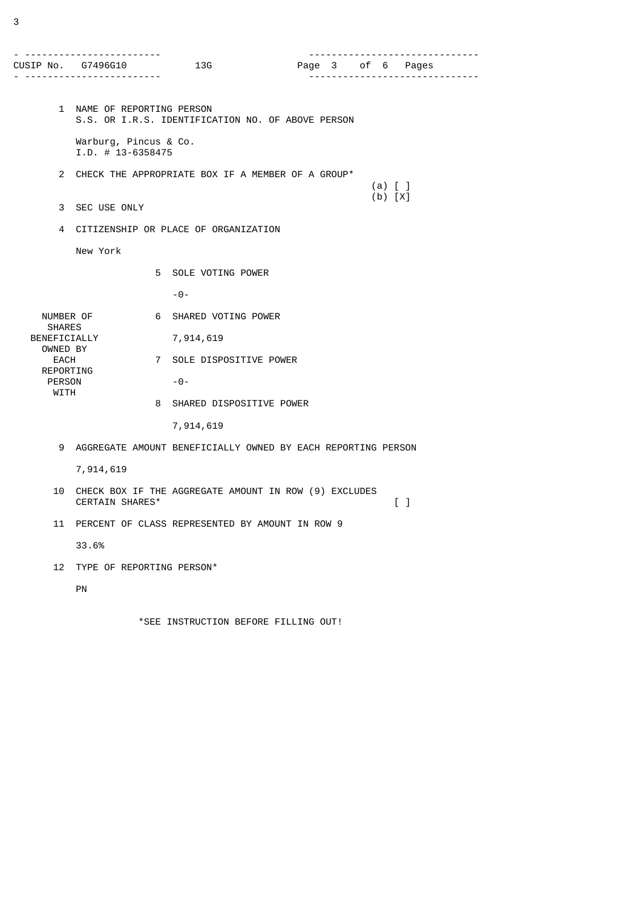| - ----------------            | --------<br>CUSIP No.   G7496G10<br>.<br>$- - - - - -$                                                               |   | 13G                                                          | Page 3 of 6 Pages | $- - - - - - - -$ | -------------------------------<br>. |  |
|-------------------------------|----------------------------------------------------------------------------------------------------------------------|---|--------------------------------------------------------------|-------------------|-------------------|--------------------------------------|--|
|                               | 1 NAME OF REPORTING PERSON                                                                                           |   | S.S. OR I.R.S. IDENTIFICATION NO. OF ABOVE PERSON            |                   |                   |                                      |  |
|                               | Warburg, Pincus & Co.<br>$I.D. # 13-6358475$                                                                         |   |                                                              |                   |                   |                                      |  |
| $\overline{2}$                | CHECK THE APPROPRIATE BOX IF A MEMBER OF A GROUP*<br>$(a)$ $[$ $]$                                                   |   |                                                              |                   |                   |                                      |  |
|                               | $(b) [X]$<br>3 SEC USE ONLY                                                                                          |   |                                                              |                   |                   |                                      |  |
| 4                             | CITIZENSHIP OR PLACE OF ORGANIZATION                                                                                 |   |                                                              |                   |                   |                                      |  |
|                               | New York                                                                                                             |   |                                                              |                   |                   |                                      |  |
|                               |                                                                                                                      |   | 5 SOLE VOTING POWER                                          |                   |                   |                                      |  |
|                               |                                                                                                                      |   | $-0-$                                                        |                   |                   |                                      |  |
| NUMBER OF                     |                                                                                                                      |   | 6 SHARED VOTING POWER                                        |                   |                   |                                      |  |
| <b>SHARES</b><br>BENEFICIALLY |                                                                                                                      |   | 7,914,619                                                    |                   |                   |                                      |  |
| OWNED BY<br><b>EACH</b>       |                                                                                                                      |   | 7 SOLE DISPOSITIVE POWER                                     |                   |                   |                                      |  |
| <b>PERSON</b>                 | REPORTING                                                                                                            |   | $-0-$                                                        |                   |                   |                                      |  |
| WITH                          |                                                                                                                      | 8 | SHARED DISPOSITIVE POWER                                     |                   |                   |                                      |  |
|                               |                                                                                                                      |   | 7,914,619                                                    |                   |                   |                                      |  |
| 9                             |                                                                                                                      |   | AGGREGATE AMOUNT BENEFICIALLY OWNED BY EACH REPORTING PERSON |                   |                   |                                      |  |
|                               | 7,914,619                                                                                                            |   |                                                              |                   |                   |                                      |  |
| 10                            | CHECK BOX IF THE AGGREGATE AMOUNT IN ROW (9) EXCLUDES<br><b>CERTAIN SHARES*</b><br>$\begin{bmatrix} 1 \end{bmatrix}$ |   |                                                              |                   |                   |                                      |  |
| 11                            |                                                                                                                      |   | PERCENT OF CLASS REPRESENTED BY AMOUNT IN ROW 9              |                   |                   |                                      |  |
|                               | 33.6%                                                                                                                |   |                                                              |                   |                   |                                      |  |
| 12                            | TYPE OF REPORTING PERSON*                                                                                            |   |                                                              |                   |                   |                                      |  |
|                               | PN                                                                                                                   |   |                                                              |                   |                   |                                      |  |

\*SEE INSTRUCTION BEFORE FILLING OUT!

3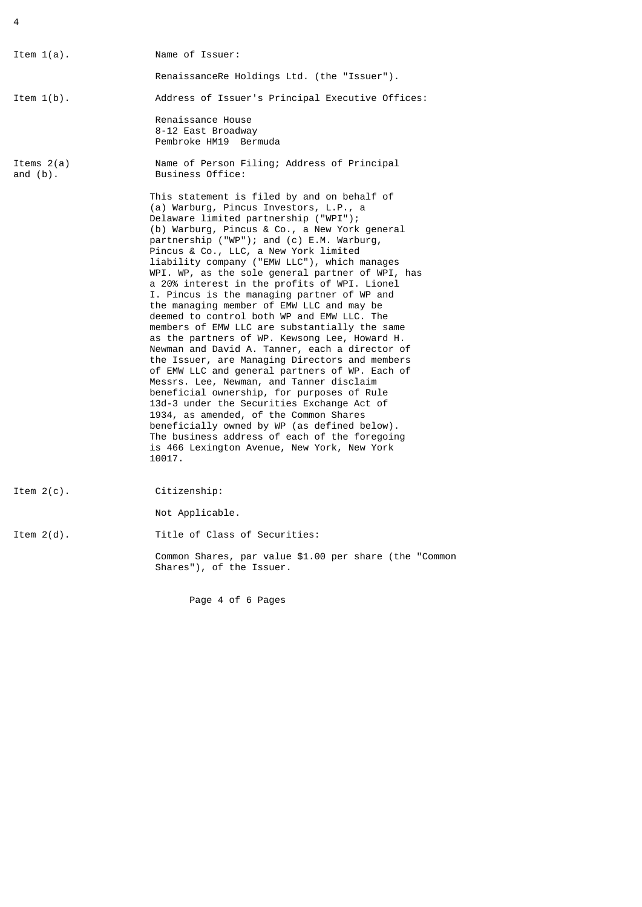4

| Item $1(a)$ .               | Name of Issuer:                                                                                                                                                                                                                                                                                                                                                                                                                                                                                                                                                                                                                                                                                                                                                                                                                                                                                                                                                                                                                                                                                                                                                         |
|-----------------------------|-------------------------------------------------------------------------------------------------------------------------------------------------------------------------------------------------------------------------------------------------------------------------------------------------------------------------------------------------------------------------------------------------------------------------------------------------------------------------------------------------------------------------------------------------------------------------------------------------------------------------------------------------------------------------------------------------------------------------------------------------------------------------------------------------------------------------------------------------------------------------------------------------------------------------------------------------------------------------------------------------------------------------------------------------------------------------------------------------------------------------------------------------------------------------|
|                             | RenaissanceRe Holdings Ltd. (the "Issuer").                                                                                                                                                                                                                                                                                                                                                                                                                                                                                                                                                                                                                                                                                                                                                                                                                                                                                                                                                                                                                                                                                                                             |
| Item $1(b)$ .               | Address of Issuer's Principal Executive Offices:                                                                                                                                                                                                                                                                                                                                                                                                                                                                                                                                                                                                                                                                                                                                                                                                                                                                                                                                                                                                                                                                                                                        |
|                             | Renaissance House<br>8-12 East Broadway<br>Pembroke HM19 Bermuda                                                                                                                                                                                                                                                                                                                                                                                                                                                                                                                                                                                                                                                                                                                                                                                                                                                                                                                                                                                                                                                                                                        |
| Items $2(a)$<br>and $(b)$ . | Name of Person Filing; Address of Principal<br>Business Office:                                                                                                                                                                                                                                                                                                                                                                                                                                                                                                                                                                                                                                                                                                                                                                                                                                                                                                                                                                                                                                                                                                         |
|                             | This statement is filed by and on behalf of<br>(a) Warburg, Pincus Investors, L.P., a<br>Delaware limited partnership ("WPI");<br>(b) Warburg, Pincus & Co., a New York general<br>partnership ("WP"); and (c) E.M. Warburg,<br>Pincus & Co., LLC, a New York limited<br>liability company ("EMW LLC"), which manages<br>WPI. WP, as the sole general partner of WPI, has<br>a 20% interest in the profits of WPI. Lionel<br>I. Pincus is the managing partner of WP and<br>the managing member of EMW LLC and may be<br>deemed to control both WP and EMW LLC. The<br>members of EMW LLC are substantially the same<br>as the partners of WP. Kewsong Lee, Howard H.<br>Newman and David A. Tanner, each a director of<br>the Issuer, are Managing Directors and members<br>of EMW LLC and general partners of WP. Each of<br>Messrs. Lee, Newman, and Tanner disclaim<br>beneficial ownership, for purposes of Rule<br>13d-3 under the Securities Exchange Act of<br>1934, as amended, of the Common Shares<br>beneficially owned by WP (as defined below).<br>The business address of each of the foregoing<br>is 466 Lexington Avenue, New York, New York<br>10017. |
| Item $2(c)$ .               | Citizenship:                                                                                                                                                                                                                                                                                                                                                                                                                                                                                                                                                                                                                                                                                                                                                                                                                                                                                                                                                                                                                                                                                                                                                            |
|                             | Not Applicable.                                                                                                                                                                                                                                                                                                                                                                                                                                                                                                                                                                                                                                                                                                                                                                                                                                                                                                                                                                                                                                                                                                                                                         |
| Item $2(d)$ .               | Title of Class of Securities:                                                                                                                                                                                                                                                                                                                                                                                                                                                                                                                                                                                                                                                                                                                                                                                                                                                                                                                                                                                                                                                                                                                                           |
|                             | Common Shares, par value \$1.00 per share (the "Common<br>Shares"), of the Issuer.                                                                                                                                                                                                                                                                                                                                                                                                                                                                                                                                                                                                                                                                                                                                                                                                                                                                                                                                                                                                                                                                                      |

Page 4 of 6 Pages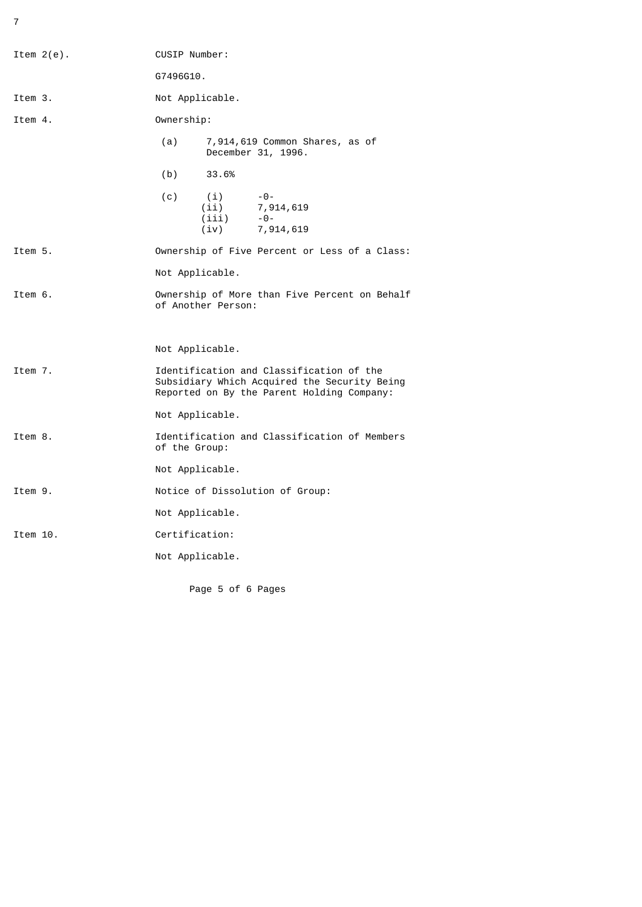7

| Item $2(e)$ . | CUSIP Number:                                                                                                                          |  |  |
|---------------|----------------------------------------------------------------------------------------------------------------------------------------|--|--|
|               | G7496G10.                                                                                                                              |  |  |
| Item 3.       | Not Applicable.                                                                                                                        |  |  |
| Item 4.       | Ownership:                                                                                                                             |  |  |
|               | (a)<br>7,914,619 Common Shares, as of<br>December 31, 1996.                                                                            |  |  |
|               | (b)<br>33.6%                                                                                                                           |  |  |
|               | (c)<br>$-0-$<br>(i)<br>$(i)$ 7, 914, 619<br>(iii)<br>$-0-$<br>(iv)<br>7,914,619                                                        |  |  |
| Item 5.       | Ownership of Five Percent or Less of a Class:                                                                                          |  |  |
|               | Not Applicable.                                                                                                                        |  |  |
| Item 6.       | Ownership of More than Five Percent on Behalf<br>of Another Person:                                                                    |  |  |
|               | Not Applicable.                                                                                                                        |  |  |
| Item 7.       | Identification and Classification of the<br>Subsidiary Which Acquired the Security Being<br>Reported on By the Parent Holding Company: |  |  |
|               | Not Applicable.                                                                                                                        |  |  |
| Item 8.       | Identification and Classification of Members<br>of the Group:                                                                          |  |  |
|               | Not Applicable.                                                                                                                        |  |  |
| Item 9.       | Notice of Dissolution of Group:                                                                                                        |  |  |
|               | Not Applicable.                                                                                                                        |  |  |
| Item 10.      | Certification:                                                                                                                         |  |  |
|               | Not Applicable.                                                                                                                        |  |  |
|               |                                                                                                                                        |  |  |

Page 5 of 6 Pages